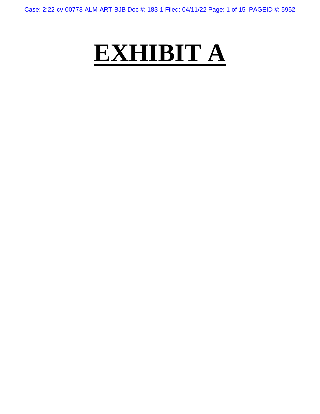Case: 2:22-cv-00773-ALM-ART-BJB Doc #: 183-1 Filed: 04/11/22 Page: 1 of 15 PAGEID #: 5952

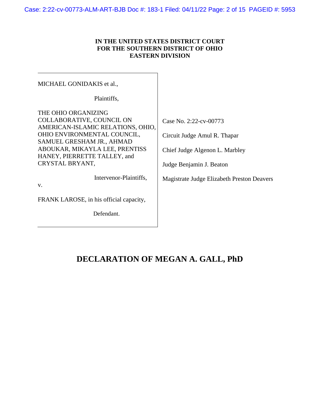Case: 2:22-cv-00773-ALM-ART-BJB Doc #: 183-1 Filed: 04/11/22 Page: 2 of 15 PAGEID #: 5953

# **IN THE UNITED STATES DISTRICT COURT FOR THE SOUTHERN DISTRICT OF OHIO EASTERN DIVISION**

| MICHAEL GONIDAKIS et al.,                                                                                                                                                                                                              |                                                                                                                      |
|----------------------------------------------------------------------------------------------------------------------------------------------------------------------------------------------------------------------------------------|----------------------------------------------------------------------------------------------------------------------|
| Plaintiffs,                                                                                                                                                                                                                            |                                                                                                                      |
| THE OHIO ORGANIZING<br>COLLABORATIVE, COUNCIL ON<br>AMERICAN-ISLAMIC RELATIONS, OHIO,<br>OHIO ENVIRONMENTAL COUNCIL,<br>SAMUEL GRESHAM JR., AHMAD<br>ABOUKAR, MIKAYLA LEE, PRENTISS<br>HANEY, PIERRETTE TALLEY, and<br>CRYSTAL BRYANT, | Case No. 2:22-cv-00773<br>Circuit Judge Amul R. Thapar<br>Chief Judge Algenon L. Marbley<br>Judge Benjamin J. Beaton |
| Intervenor-Plaintiffs,<br>V.                                                                                                                                                                                                           | Magistrate Judge Elizabeth Preston Deavers                                                                           |
| FRANK LAROSE, in his official capacity,                                                                                                                                                                                                |                                                                                                                      |
| Defendant.                                                                                                                                                                                                                             |                                                                                                                      |

# **DECLARATION OF MEGAN A. GALL, PhD**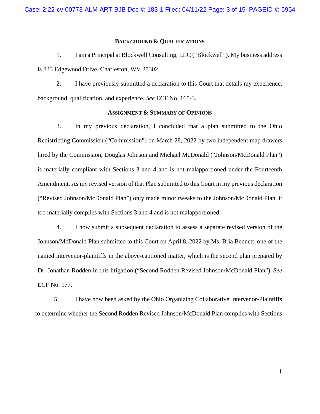#### **BACKGROUND & QUALIFICATIONS**

1. I am a Principal at Blockwell Consulting, LLC ("Blockwell"). My business address is 833 Edgewood Drive, Charleston, WV 25302.

2. I have previously submitted a declaration to this Court that details my experience, background, qualification, and experience. *See* ECF No. 165-3.

## **ASSIGNMENT & SUMMARY OF OPINIONS**

3. In my previous declaration, I concluded that a plan submitted to the Ohio Redistricting Commission ("Commission") on March 28, 2022 by two independent map drawers hired by the Commission, Douglas Johnson and Michael McDonald ("Johnson/McDonald Plan") is materially compliant with Sections 3 and 4 and is not malapportioned under the Fourteenth Amendment. As my revised version of that Plan submitted to this Court in my previous declaration ("Revised Johnson/McDonald Plan") only made minor tweaks to the Johnson/McDonald Plan, it too materially complies with Sections 3 and 4 and is not malapportioned.

4. I now submit a subsequent declaration to assess a separate revised version of the Johnson/McDonald Plan submitted to this Court on April 8, 2022 by Ms. Bria Bennett, one of the named intervenor-plaintiffs in the above-captioned matter, which is the second plan prepared by Dr. Jonathan Rodden in this litigation ("Second Rodden Revised Johnson/McDonald Plan"). *See*  ECF No. 177.

5. I have now been asked by the Ohio Organizing Collaborative Intervenor-Plaintiffs to determine whether the Second Rodden Revised Johnson/McDonald Plan complies with Sections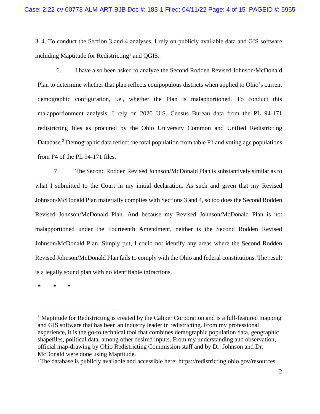3–4. To conduct the Section 3 and 4 analyses, I rely on publicly available data and GIS software including Maptitude for Redistricting<sup>1</sup> and QGIS.

6. I have also been asked to analyze the Second Rodden Revised Johnson/McDonald Plan to determine whether that plan reflects equipopulous districts when applied to Ohio's current demographic configuration, i.e., whether the Plan is malapportioned. To conduct this malapportionment analysis, I rely on 2020 U.S. Census Bureau data from the PL 94-171 redistricting files as procured by the Ohio University Common and Unified Redistricting Database.<sup>2</sup> Demographic data reflect the total population from table P1 and voting age populations from P4 of the PL 94-171 files.

7. The Second Rodden Revised Johnson/McDonald Plan is substantively similar as to what I submitted to the Court in my initial declaration. As such and given that my Revised Johnson/McDonald Plan materially complies with Sections 3 and 4, so too does the Second Rodden Revised Johnson/McDonald Plan. And because my Revised Johnson/McDonald Plan is not malapportioned under the Fourteenth Amendment, neither is the Second Rodden Revised Johnson/McDonald Plan. Simply put, I could not identify any areas where the Second Rodden Revised Johnson/McDonald Plan fails to comply with the Ohio and federal constitutions. The result is a legally sound plan with no identifiable infractions.

**\* \* \*** 

<sup>&</sup>lt;sup>1</sup> Maptitude for Redistricting is created by the Caliper Corporation and is a full-featured mapping and GIS software that has been an industry leader in redistricting. From my professional experience, it is the go-to technical tool that combines demographic population data, geographic shapefiles, political data, among other desired inputs. From my understanding and observation, official map-drawing by Ohio Redistricting Commission staff and by Dr. Johnson and Dr. McDonald were done using Maptitude.

<sup>2</sup> The database is publicly available and accessible here: https://redistricting.ohio.gov/resources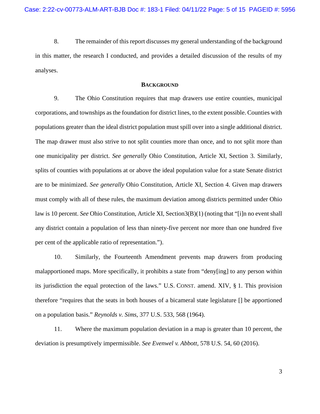8. The remainder of this report discusses my general understanding of the background in this matter, the research I conducted, and provides a detailed discussion of the results of my analyses.

### **BACKGROUND**

9. The Ohio Constitution requires that map drawers use entire counties, municipal corporations, and townships as the foundation for district lines, to the extent possible. Counties with populations greater than the ideal district population must spill over into a single additional district. The map drawer must also strive to not split counties more than once, and to not split more than one municipality per district. *See generally* Ohio Constitution, Article XI, Section 3. Similarly, splits of counties with populations at or above the ideal population value for a state Senate district are to be minimized. *See generally* Ohio Constitution, Article XI, Section 4. Given map drawers must comply with all of these rules, the maximum deviation among districts permitted under Ohio law is 10 percent. *See* Ohio Constitution, Article XI, Section3(B)(1) (noting that "[i]n no event shall any district contain a population of less than ninety-five percent nor more than one hundred five per cent of the applicable ratio of representation.").

10. Similarly, the Fourteenth Amendment prevents map drawers from producing malapportioned maps. More specifically, it prohibits a state from "deny[ing] to any person within its jurisdiction the equal protection of the laws." U.S. CONST. amend. XIV, § 1. This provision therefore "requires that the seats in both houses of a bicameral state legislature [] be apportioned on a population basis." *Reynolds v. Sims*, 377 U.S. 533, 568 (1964).

11. Where the maximum population deviation in a map is greater than 10 percent, the deviation is presumptively impermissible. *See Evenwel v. Abbott*, 578 U.S. 54, 60 (2016).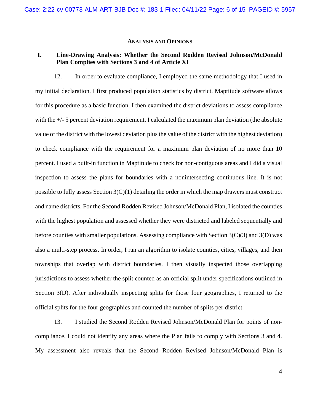#### **ANALYSIS AND OPINIONS**

# **I. Line-Drawing Analysis: Whether the Second Rodden Revised Johnson/McDonald Plan Complies with Sections 3 and 4 of Article XI**

12. In order to evaluate compliance, I employed the same methodology that I used in my initial declaration. I first produced population statistics by district. Maptitude software allows for this procedure as a basic function. I then examined the district deviations to assess compliance with the +/- 5 percent deviation requirement. I calculated the maximum plan deviation (the absolute value of the district with the lowest deviation plus the value of the district with the highest deviation) to check compliance with the requirement for a maximum plan deviation of no more than 10 percent. I used a built-in function in Maptitude to check for non-contiguous areas and I did a visual inspection to assess the plans for boundaries with a nonintersecting continuous line. It is not possible to fully assess Section  $3(C)(1)$  detailing the order in which the map drawers must construct and name districts. For the Second Rodden Revised Johnson/McDonald Plan, I isolated the counties with the highest population and assessed whether they were districted and labeled sequentially and before counties with smaller populations. Assessing compliance with Section 3(C)(3) and 3(D) was also a multi-step process. In order, I ran an algorithm to isolate counties, cities, villages, and then townships that overlap with district boundaries. I then visually inspected those overlapping jurisdictions to assess whether the split counted as an official split under specifications outlined in Section 3(D). After individually inspecting splits for those four geographies, I returned to the official splits for the four geographies and counted the number of splits per district.

13. I studied the Second Rodden Revised Johnson/McDonald Plan for points of noncompliance. I could not identify any areas where the Plan fails to comply with Sections 3 and 4. My assessment also reveals that the Second Rodden Revised Johnson/McDonald Plan is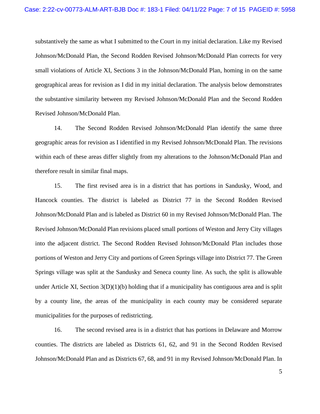substantively the same as what I submitted to the Court in my initial declaration. Like my Revised Johnson/McDonald Plan, the Second Rodden Revised Johnson/McDonald Plan corrects for very small violations of Article XI, Sections 3 in the Johnson/McDonald Plan, homing in on the same geographical areas for revision as I did in my initial declaration. The analysis below demonstrates the substantive similarity between my Revised Johnson/McDonald Plan and the Second Rodden Revised Johnson/McDonald Plan.

14. The Second Rodden Revised Johnson/McDonald Plan identify the same three geographic areas for revision as I identified in my Revised Johnson/McDonald Plan. The revisions within each of these areas differ slightly from my alterations to the Johnson/McDonald Plan and therefore result in similar final maps.

15. The first revised area is in a district that has portions in Sandusky, Wood, and Hancock counties. The district is labeled as District 77 in the Second Rodden Revised Johnson/McDonald Plan and is labeled as District 60 in my Revised Johnson/McDonald Plan. The Revised Johnson/McDonald Plan revisions placed small portions of Weston and Jerry City villages into the adjacent district. The Second Rodden Revised Johnson/McDonald Plan includes those portions of Weston and Jerry City and portions of Green Springs village into District 77. The Green Springs village was split at the Sandusky and Seneca county line. As such, the split is allowable under Article XI, Section 3(D)(1)(b) holding that if a municipality has contiguous area and is split by a county line, the areas of the municipality in each county may be considered separate municipalities for the purposes of redistricting.

16. The second revised area is in a district that has portions in Delaware and Morrow counties. The districts are labeled as Districts 61, 62, and 91 in the Second Rodden Revised Johnson/McDonald Plan and as Districts 67, 68, and 91 in my Revised Johnson/McDonald Plan. In

5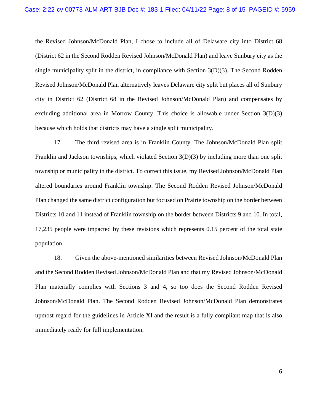the Revised Johnson/McDonald Plan, I chose to include all of Delaware city into District 68 (District 62 in the Second Rodden Revised Johnson/McDonald Plan) and leave Sunbury city as the single municipality split in the district, in compliance with Section  $3(D)(3)$ . The Second Rodden Revised Johnson/McDonald Plan alternatively leaves Delaware city split but places all of Sunbury city in District 62 (District 68 in the Revised Johnson/McDonald Plan) and compensates by excluding additional area in Morrow County. This choice is allowable under Section 3(D)(3) because which holds that districts may have a single split municipality.

17. The third revised area is in Franklin County. The Johnson/McDonald Plan split Franklin and Jackson townships, which violated Section 3(D)(3) by including more than one split township or municipality in the district. To correct this issue, my Revised Johnson/McDonald Plan altered boundaries around Franklin township. The Second Rodden Revised Johnson/McDonald Plan changed the same district configuration but focused on Prairie township on the border between Districts 10 and 11 instead of Franklin township on the border between Districts 9 and 10. In total, 17,235 people were impacted by these revisions which represents 0.15 percent of the total state population.

18. Given the above-mentioned similarities between Revised Johnson/McDonald Plan and the Second Rodden Revised Johnson/McDonald Plan and that my Revised Johnson/McDonald Plan materially complies with Sections 3 and 4, so too does the Second Rodden Revised Johnson/McDonald Plan. The Second Rodden Revised Johnson/McDonald Plan demonstrates upmost regard for the guidelines in Article XI and the result is a fully compliant map that is also immediately ready for full implementation.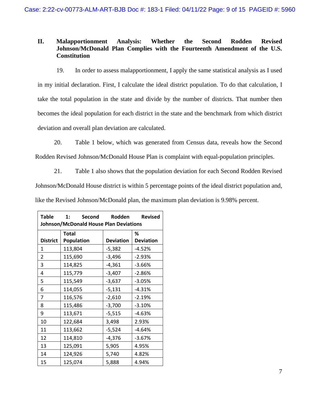# **II. Malapportionment Analysis: Whether the Second Rodden Revised Johnson/McDonald Plan Complies with the Fourteenth Amendment of the U.S. Constitution**

19. In order to assess malapportionment, I apply the same statistical analysis as I used in my initial declaration. First, I calculate the ideal district population. To do that calculation, I take the total population in the state and divide by the number of districts. That number then becomes the ideal population for each district in the state and the benchmark from which district deviation and overall plan deviation are calculated.

20. Table 1 below, which was generated from Census data, reveals how the Second Rodden Revised Johnson/McDonald House Plan is complaint with equal-population principles.

21. Table 1 also shows that the population deviation for each Second Rodden Revised Johnson/McDonald House district is within 5 percentage points of the ideal district population and, like the Revised Johnson/McDonald plan, the maximum plan deviation is 9.98% percent.

| Table           | 1:<br>Second<br>Johnson/McDonald House Plan Deviations | Rodden           | <b>Revised</b>   |
|-----------------|--------------------------------------------------------|------------------|------------------|
|                 | <b>Total</b>                                           |                  | %                |
| <b>District</b> | <b>Population</b>                                      | <b>Deviation</b> | <b>Deviation</b> |
| 1               | 113,804                                                | $-5,382$         | $-4.52%$         |
| $\overline{2}$  | 115,690                                                | $-3,496$         | $-2.93%$         |
| 3               | 114,825                                                | $-4,361$         | $-3.66%$         |
| 4               | 115,779                                                | $-3,407$         | $-2.86%$         |
| 5               | 115,549                                                | $-3,637$         | $-3.05%$         |
| 6               | 114,055                                                | $-5,131$         | $-4.31%$         |
| $\overline{7}$  | 116,576                                                | $-2,610$         | $-2.19%$         |
| 8               | 115,486                                                | $-3,700$         | $-3.10%$         |
| 9               | 113,671                                                | $-5,515$         | $-4.63%$         |
| 10              | 122,684                                                | 3,498            | 2.93%            |
| 11              | 113,662                                                | $-5,524$         | $-4.64%$         |
| 12              | 114,810                                                | $-4,376$         | $-3.67%$         |
| 13              | 125,091                                                | 5,905            | 4.95%            |
| 14              | 124,926                                                | 5,740            | 4.82%            |
| 15              | 125,074                                                | 5,888            | 4.94%            |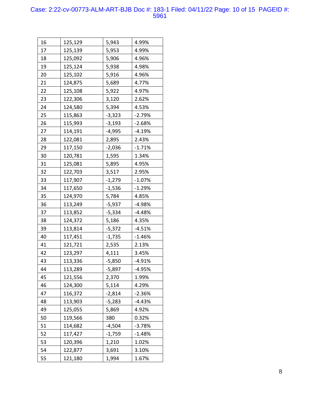## Case: 2:22-cv-00773-ALM-ART-BJB Doc #: 183-1 Filed: 04/11/22 Page: 10 of 15 PAGEID #: 5961

| 16 | 125,129 | 5,943    | 4.99%    |
|----|---------|----------|----------|
| 17 | 125,139 | 5,953    | 4.99%    |
| 18 | 125,092 | 5,906    | 4.96%    |
| 19 | 125,124 | 5,938    | 4.98%    |
| 20 | 125,102 | 5,916    | 4.96%    |
| 21 | 124,875 | 5,689    | 4.77%    |
| 22 | 125,108 | 5,922    | 4.97%    |
| 23 | 122,306 | 3,120    | 2.62%    |
| 24 | 124,580 | 5,394    | 4.53%    |
| 25 | 115,863 | $-3,323$ | $-2.79%$ |
| 26 | 115,993 | $-3,193$ | $-2.68%$ |
| 27 | 114,191 | $-4,995$ | $-4.19%$ |
| 28 | 122,081 | 2,895    | 2.43%    |
| 29 | 117,150 | $-2,036$ | $-1.71%$ |
| 30 | 120,781 | 1,595    | 1.34%    |
| 31 | 125,081 | 5,895    | 4.95%    |
| 32 | 122,703 | 3,517    | 2.95%    |
| 33 | 117,907 | $-1,279$ | $-1.07%$ |
| 34 | 117,650 | $-1,536$ | $-1.29%$ |
| 35 | 124,970 | 5,784    | 4.85%    |
| 36 | 113,249 | $-5,937$ | $-4.98%$ |
| 37 | 113,852 | $-5,334$ | $-4.48%$ |
| 38 | 124,372 | 5,186    | 4.35%    |
| 39 | 113,814 | $-5,372$ | $-4.51%$ |
| 40 | 117,451 | $-1,735$ | $-1.46%$ |
| 41 | 121,721 | 2,535    | 2.13%    |
| 42 | 123,297 | 4,111    | 3.45%    |
| 43 | 113,336 | $-5,850$ | $-4.91%$ |
| 44 | 113,289 | -5,897   | $-4.95%$ |
| 45 | 121,556 | 2,370    | 1.99%    |
| 46 | 124,300 | 5,114    | 4.29%    |
| 47 | 116,372 | $-2,814$ | $-2.36%$ |
| 48 | 113,903 | $-5,283$ | $-4.43%$ |
| 49 | 125,055 | 5,869    | 4.92%    |
| 50 | 119,566 | 380      | 0.32%    |
| 51 | 114,682 | $-4,504$ | $-3.78%$ |
| 52 | 117,427 | $-1,759$ | $-1.48%$ |
| 53 | 120,396 | 1,210    | 1.02%    |
| 54 | 122,877 | 3,691    | 3.10%    |
| 55 | 121,180 | 1,994    | 1.67%    |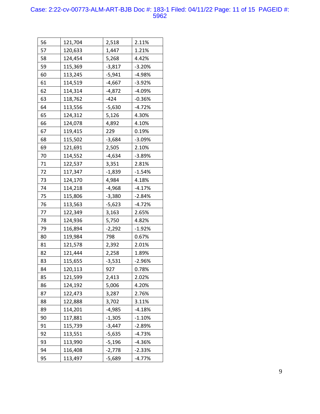## Case: 2:22-cv-00773-ALM-ART-BJB Doc #: 183-1 Filed: 04/11/22 Page: 11 of 15 PAGEID #: 5962

| 56 | 121,704 | 2,518    | 2.11%    |
|----|---------|----------|----------|
| 57 | 120,633 | 1,447    | 1.21%    |
| 58 | 124,454 | 5,268    | 4.42%    |
| 59 | 115,369 | $-3,817$ | $-3.20%$ |
| 60 | 113,245 | $-5,941$ | -4.98%   |
| 61 | 114,519 | $-4,667$ | $-3.92%$ |
| 62 | 114,314 | $-4,872$ | $-4.09%$ |
| 63 | 118,762 | $-424$   | $-0.36%$ |
| 64 | 113,556 | $-5,630$ | $-4.72%$ |
| 65 | 124,312 | 5,126    | 4.30%    |
| 66 | 124,078 | 4,892    | 4.10%    |
| 67 | 119,415 | 229      | 0.19%    |
| 68 | 115,502 | $-3,684$ | $-3.09%$ |
| 69 | 121,691 | 2,505    | 2.10%    |
| 70 | 114,552 | $-4,634$ | $-3.89%$ |
| 71 | 122,537 | 3,351    | 2.81%    |
| 72 | 117,347 | $-1,839$ | $-1.54%$ |
| 73 | 124,170 | 4,984    | 4.18%    |
| 74 | 114,218 | -4,968   | $-4.17%$ |
| 75 | 115,806 | $-3,380$ | $-2.84%$ |
| 76 | 113,563 | $-5,623$ | -4.72%   |
| 77 | 122,349 | 3,163    | 2.65%    |
| 78 | 124,936 | 5,750    | 4.82%    |
| 79 | 116,894 | $-2,292$ | $-1.92%$ |
| 80 | 119,984 | 798      | 0.67%    |
| 81 | 121,578 | 2,392    | 2.01%    |
| 82 | 121,444 | 2,258    | 1.89%    |
| 83 | 115,655 | $-3,531$ | $-2.96%$ |
| 84 | 120,113 | 927      | 0.78%    |
| 85 | 121,599 | 2,413    | 2.02%    |
| 86 | 124,192 | 5,006    | 4.20%    |
| 87 | 122,473 | 3,287    | 2.76%    |
| 88 | 122,888 | 3,702    | 3.11%    |
| 89 | 114,201 | -4,985   | $-4.18%$ |
| 90 | 117,881 | $-1,305$ | $-1.10%$ |
| 91 | 115,739 | $-3,447$ | $-2.89%$ |
| 92 | 113,551 | -5,635   | $-4.73%$ |
| 93 | 113,990 | $-5,196$ | $-4.36%$ |
| 94 | 116,408 | $-2,778$ | -2.33%   |
| 95 | 113,497 | $-5,689$ | $-4.77%$ |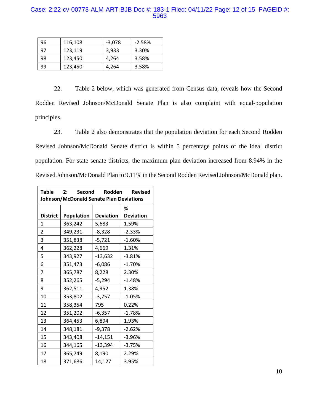# Case: 2:22-cv-00773-ALM-ART-BJB Doc #: 183-1 Filed: 04/11/22 Page: 12 of 15 PAGEID #: 5963

| 96 | 116,108 | $-3,078$ | $-2.58%$ |
|----|---------|----------|----------|
| 97 | 123,119 | 3,933    | 3.30%    |
| 98 | 123,450 | 4,264    | 3.58%    |
| 99 | 123,450 | 4,264    | 3.58%    |

22. Table 2 below, which was generated from Census data, reveals how the Second Rodden Revised Johnson/McDonald Senate Plan is also complaint with equal-population principles.

23. Table 2 also demonstrates that the population deviation for each Second Rodden Revised Johnson/McDonald Senate district is within 5 percentage points of the ideal district population. For state senate districts, the maximum plan deviation increased from 8.94% in the Revised Johnson/McDonald Plan to 9.11% in the Second Rodden Revised Johnson/McDonald plan.

| Table<br>2: Second Rodden Revised<br>Johnson/McDonald Senate Plan Deviations |                   |                  |                  |
|------------------------------------------------------------------------------|-------------------|------------------|------------------|
|                                                                              |                   |                  | ℅                |
| <b>District</b>                                                              | <b>Population</b> | <b>Deviation</b> | <b>Deviation</b> |
| 1                                                                            | 363,242           | 5,683            | 1.59%            |
| $\overline{2}$                                                               | 349,231           | $-8,328$         | $-2.33%$         |
| 3                                                                            | 351,838           | $-5,721$         | $-1.60%$         |
| 4                                                                            | 362,228           | 4,669            | 1.31%            |
| 5                                                                            | 343,927           | $-13,632$        | $-3.81%$         |
| 6                                                                            | 351,473           | $-6,086$         | $-1.70%$         |
| 7                                                                            | 365,787           | 8,228            | 2.30%            |
| 8                                                                            | 352,265           | $-5,294$         | $-1.48%$         |
| 9                                                                            | 362,511           | 4,952            | 1.38%            |
| 10                                                                           | 353,802           | $-3,757$         | $-1.05%$         |
| 11                                                                           | 358,354           | 795              | 0.22%            |
| 12                                                                           | 351,202           | $-6,357$         | $-1.78%$         |
| 13                                                                           | 364,453           | 6,894            | 1.93%            |
| 14                                                                           | 348,181           | $-9,378$         | $-2.62%$         |
| 15                                                                           | 343,408           | $-14,151$        | $-3.96%$         |
| 16                                                                           | 344,165           | $-13,394$        | $-3.75%$         |
| 17                                                                           | 365,749           | 8,190            | 2.29%            |
| 18                                                                           | 371,686           | 14,127           | 3.95%            |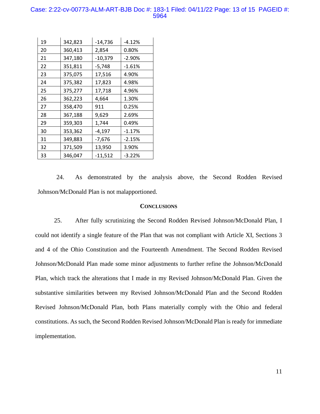### Case: 2:22-cv-00773-ALM-ART-BJB Doc #: 183-1 Filed: 04/11/22 Page: 13 of 15 PAGEID #: 5964

| 19 | 342,823 | $-14,736$ | $-4.12%$ |
|----|---------|-----------|----------|
| 20 | 360,413 | 2,854     | 0.80%    |
| 21 | 347,180 | $-10,379$ | $-2.90%$ |
| 22 | 351,811 | $-5,748$  | $-1.61%$ |
| 23 | 375,075 | 17,516    | 4.90%    |
| 24 | 375,382 | 17,823    | 4.98%    |
| 25 | 375,277 | 17,718    | 4.96%    |
| 26 | 362,223 | 4,664     | 1.30%    |
| 27 | 358,470 | 911       | 0.25%    |
| 28 | 367,188 | 9,629     | 2.69%    |
| 29 | 359,303 | 1,744     | 0.49%    |
| 30 | 353,362 | $-4,197$  | $-1.17%$ |
| 31 | 349,883 | $-7,676$  | $-2.15%$ |
| 32 | 371,509 | 13,950    | 3.90%    |
| 33 | 346,047 | $-11,512$ | $-3.22%$ |

24. As demonstrated by the analysis above, the Second Rodden Revised Johnson/McDonald Plan is not malapportioned.

#### **CONCLUSIONS**

25. After fully scrutinizing the Second Rodden Revised Johnson/McDonald Plan, I could not identify a single feature of the Plan that was not compliant with Article XI, Sections 3 and 4 of the Ohio Constitution and the Fourteenth Amendment. The Second Rodden Revised Johnson/McDonald Plan made some minor adjustments to further refine the Johnson/McDonald Plan, which track the alterations that I made in my Revised Johnson/McDonald Plan. Given the substantive similarities between my Revised Johnson/McDonald Plan and the Second Rodden Revised Johnson/McDonald Plan, both Plans materially comply with the Ohio and federal constitutions. As such, the Second Rodden Revised Johnson/McDonald Plan is ready for immediate implementation.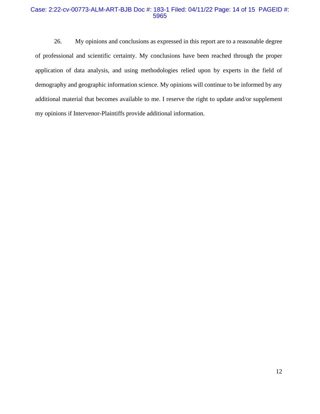## Case: 2:22-cv-00773-ALM-ART-BJB Doc #: 183-1 Filed: 04/11/22 Page: 14 of 15 PAGEID #: 5965

26. My opinions and conclusions as expressed in this report are to a reasonable degree of professional and scientific certainty. My conclusions have been reached through the proper application of data analysis, and using methodologies relied upon by experts in the field of demography and geographic information science. My opinions will continue to be informed by any additional material that becomes available to me. I reserve the right to update and/or supplement my opinions if Intervenor-Plaintiffs provide additional information.